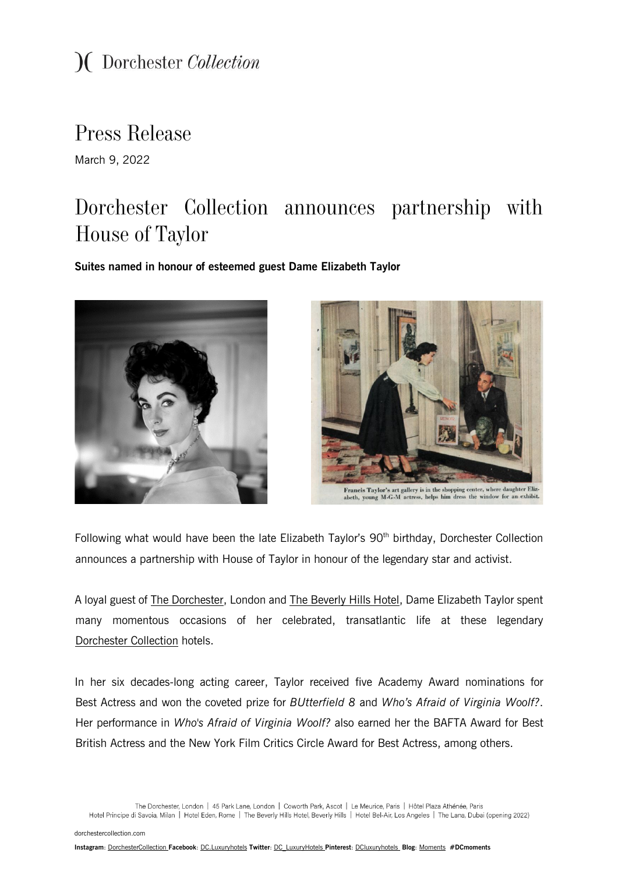### *Press Release*

March 9, 2022

## *Dorchester Collection announces partnership with House of Taylor*

**Suites named in honour of esteemed guest Dame Elizabeth Taylor**





Following what would have been the late Elizabeth Taylor's 90<sup>th</sup> birthday, Dorchester Collection announces a partnership with House of Taylor in honour of the legendary star and activist.

A loyal guest of [The Dorchester,](https://protect-eu.mimecast.com/s/YuRDC98mluYWkQWFo8eha?domain=dorchestercollection.com/) London and [The Beverly Hills Hotel,](https://protect-eu.mimecast.com/s/ue-dC0gB1crXGVXUDnt4D?domain=dorchestercollection.com/) Dame Elizabeth Taylor spent many momentous occasions of her celebrated, transatlantic life at these legendary [Dorchester Collection](https://protect-eu.mimecast.com/s/6tOwCg5PrUY1A91F27LNh?domain=dorchestercollection.com/) hotels.

In her six decades-long acting career, Taylor received five Academy Award nominations for Best Actress and won the coveted prize for *BUtterfield 8* and *Who's Afraid of Virginia Woolf?*. Her performance in *Who's Afraid of Virginia Woolf?* also earned her the BAFTA Award for Best British Actress and the New York Film Critics Circle Award for Best Actress, among others.

[dorchestercollection.com](http://www.dorchestercollection.com/)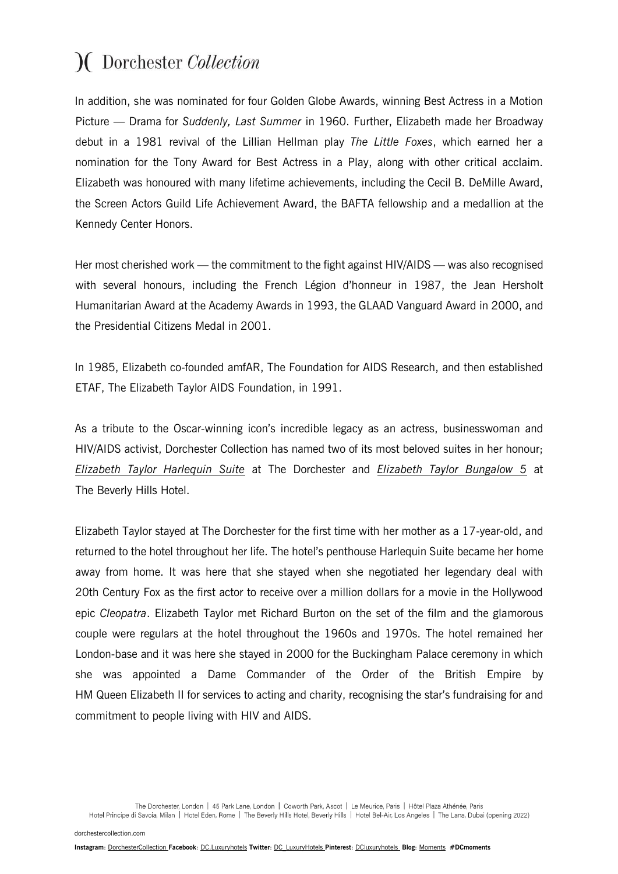In addition, she was nominated for four Golden Globe Awards, winning Best Actress in a Motion Picture — Drama for *Suddenly, Last Summer* in 1960. Further, Elizabeth made her Broadway debut in a 1981 revival of the Lillian Hellman play *The Little Foxes*, which earned her a nomination for the Tony Award for Best Actress in a Play, along with other critical acclaim. Elizabeth was honoured with many lifetime achievements, including the Cecil B. DeMille Award, the Screen Actors Guild Life Achievement Award, the BAFTA fellowship and a medallion at the Kennedy Center Honors.

Her most cherished work — the commitment to the fight against HIV/AIDS — was also recognised with several honours, including the French Légion d'honneur in 1987, the Jean Hersholt Humanitarian Award at the Academy Awards in 1993, the GLAAD Vanguard Award in 2000, and the Presidential Citizens Medal in 2001.

In 1985, Elizabeth co-founded amfAR, The Foundation for AIDS Research, and then established ETAF, The Elizabeth Taylor AIDS Foundation, in 1991.

As a tribute to the Oscar-winning icon's incredible legacy as an actress, businesswoman and HIV/AIDS activist, Dorchester Collection has named two of its most beloved suites in her honour; *[Elizabeth Taylor Harlequin Suite](https://www.dorchestercollection.com/en/london/the-dorchester/rooms-suites/the-harlequin-penthouse/)* at The Dorchester and *[Elizabeth Taylor Bungalow 5](https://www.dorchestercollection.com/en/los-angeles/the-beverly-hills-hotel/rooms-suites/bungalow-5/)* at The Beverly Hills Hotel.

Elizabeth Taylor stayed at The Dorchester for the first time with her mother as a 17-year-old, and returned to the hotel throughout her life. The hotel's penthouse Harlequin Suite became her home away from home. It was here that she stayed when she negotiated her legendary deal with 20th Century Fox as the first actor to receive over a million dollars for a movie in the Hollywood epic *Cleopatra*. Elizabeth Taylor met Richard Burton on the set of the film and the glamorous couple were regulars at the hotel throughout the 1960s and 1970s. The hotel remained her London-base and it was here she stayed in 2000 for the Buckingham Palace ceremony in which she was appointed a Dame Commander of the Order of the British Empire by HM Queen Elizabeth II for services to acting and charity, recognising the star's fundraising for and commitment to people living with HIV and AIDS.

The Dorchester, London | 45 Park Lane, London | Coworth Park, Ascot | Le Meurice, Paris | Hôtel Plaza Athénée, Paris Hotel Principe di Savoia, Milan | Hotel Eden, Rome | The Beverly Hills Hotel, Beverly Hills | Hotel Bel-Air, Los Angeles | The Lana, Dubai (opening 2022)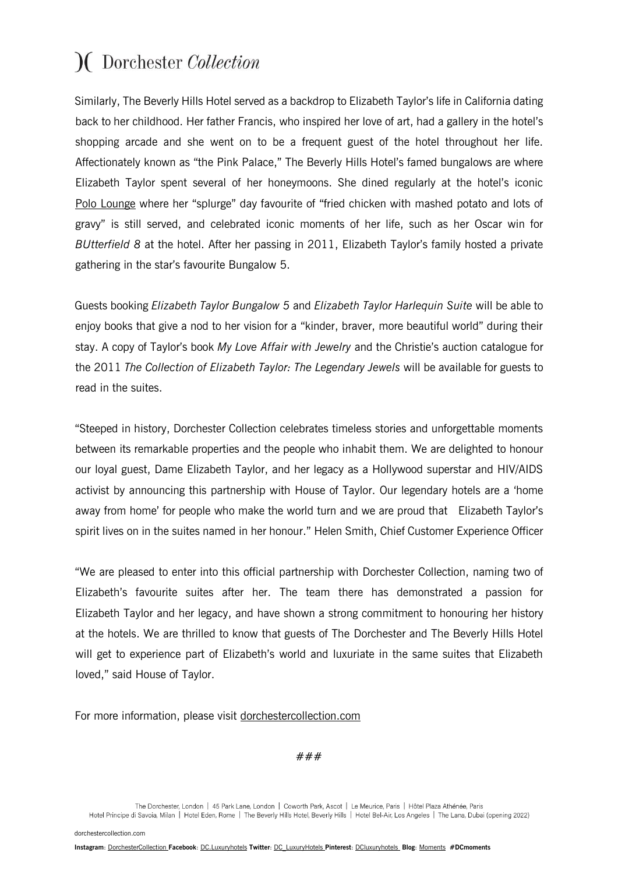Similarly, The Beverly Hills Hotel served as a backdrop to Elizabeth Taylor's life in California dating back to her childhood. Her father Francis, who inspired her love of art, had a gallery in the hotel's shopping arcade and she went on to be a frequent guest of the hotel throughout her life. Affectionately known as "the Pink Palace," The Beverly Hills Hotel's famed bungalows are where Elizabeth Taylor spent several of her honeymoons. She dined regularly at the hotel's iconic [Polo Lounge](https://www.dorchestercollection.com/en/los-angeles/the-beverly-hills-hotel/restaurants-bars/the-polo-lounge/) where her "splurge" day favourite of "fried chicken with mashed potato and lots of gravy" is still served, and celebrated iconic moments of her life, such as her Oscar win for *BUtterfield 8* at the hotel. After her passing in 2011, Elizabeth Taylor's family hosted a private gathering in the star's favourite Bungalow 5.

Guests booking *Elizabeth Taylor Bungalow 5* and *Elizabeth Taylor Harlequin Suite* will be able to enjoy books that give a nod to her vision for a "kinder, braver, more beautiful world" during their stay. A copy of Taylor's book *My Love Affair with Jewelry* and the Christie's auction catalogue for the 2011 *The Collection of Elizabeth Taylor: The Legendary Jewels* will be available for guests to read in the suites.

"Steeped in history, Dorchester Collection celebrates timeless stories and unforgettable moments between its remarkable properties and the people who inhabit them. We are delighted to honour our loyal guest, Dame Elizabeth Taylor, and her legacy as a Hollywood superstar and HIV/AIDS activist by announcing this partnership with House of Taylor. Our legendary hotels are a 'home away from home' for people who make the world turn and we are proud that Elizabeth Taylor's spirit lives on in the suites named in her honour." Helen Smith, Chief Customer Experience Officer

"We are pleased to enter into this official partnership with Dorchester Collection, naming two of Elizabeth's favourite suites after her. The team there has demonstrated a passion for Elizabeth Taylor and her legacy, and have shown a strong commitment to honouring her history at the hotels. We are thrilled to know that guests of The Dorchester and The Beverly Hills Hotel will get to experience part of Elizabeth's world and luxuriate in the same suites that Elizabeth loved," said House of Taylor.

For more information, please visit [dorchestercollection.com](https://protect-eu.mimecast.com/s/6tOwCg5PrUY1A91F27LNh?domain=dorchestercollection.com/)

###

The Dorchester, London | 45 Park Lane, London | Coworth Park, Ascot | Le Meurice, Paris | Hôtel Plaza Athénée, Paris Hotel Principe di Savoia, Milan | Hotel Eden, Rome | The Beverly Hills Hotel, Beverly Hills | Hotel Bel-Air, Los Angeles | The Lana, Dubai (opening 2022)

[dorchestercollection.com](http://www.dorchestercollection.com/)